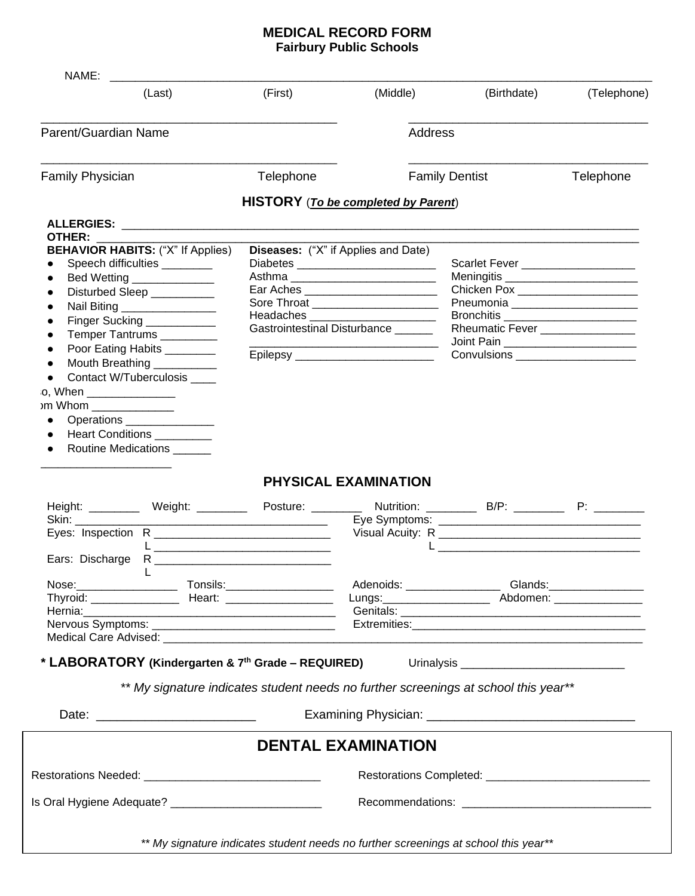## **MEDICAL RECORD FORM Fairbury Public Schools**

| (Last)                                                                                                         | (First)   | (Middle)                                   | (Birthdate)                                                                                                          | (Telephone)                      |  |
|----------------------------------------------------------------------------------------------------------------|-----------|--------------------------------------------|----------------------------------------------------------------------------------------------------------------------|----------------------------------|--|
| Parent/Guardian Name                                                                                           |           |                                            | Address                                                                                                              |                                  |  |
| <b>Family Physician</b>                                                                                        | Telephone |                                            | <b>Family Dentist</b>                                                                                                | Telephone                        |  |
|                                                                                                                |           | <b>HISTORY</b> (To be completed by Parent) |                                                                                                                      |                                  |  |
|                                                                                                                |           |                                            |                                                                                                                      |                                  |  |
| <b>OTHER:</b>                                                                                                  |           |                                            |                                                                                                                      |                                  |  |
| <b>BEHAVIOR HABITS: ("X" If Applies)</b>                                                                       |           | <b>Diseases:</b> ("X" if Applies and Date) |                                                                                                                      |                                  |  |
| Speech difficulties ________                                                                                   |           |                                            | Scarlet Fever _____________________                                                                                  |                                  |  |
| Bed Wetting _______________                                                                                    |           |                                            |                                                                                                                      |                                  |  |
| Disturbed Sleep ___________                                                                                    |           | Ear Aches ___________________________      |                                                                                                                      | Chicken Pox ____________________ |  |
| Nail Biting _________________                                                                                  |           | Sore Throat ______________________         | Pneumonia _______________________                                                                                    |                                  |  |
| Finger Sucking ___________                                                                                     |           |                                            |                                                                                                                      |                                  |  |
| Temper Tantrums _________                                                                                      |           | Gastrointestinal Disturbance ______        | Rheumatic Fever _________________                                                                                    |                                  |  |
| Poor Eating Habits ________                                                                                    |           |                                            | Joint Pain _________________________                                                                                 |                                  |  |
|                                                                                                                |           | Epilepsy ________________________          | Convulsions ______________________                                                                                   |                                  |  |
| Mouth Breathing ___________                                                                                    |           |                                            |                                                                                                                      |                                  |  |
| <b>Contact W/Tuberculosis</b>                                                                                  |           |                                            |                                                                                                                      |                                  |  |
| o, When ______________                                                                                         |           |                                            |                                                                                                                      |                                  |  |
| om Whom ______________                                                                                         |           |                                            |                                                                                                                      |                                  |  |
|                                                                                                                |           |                                            |                                                                                                                      |                                  |  |
| Operations ________________                                                                                    |           |                                            |                                                                                                                      |                                  |  |
| Heart Conditions _________                                                                                     |           |                                            |                                                                                                                      |                                  |  |
| Routine Medications ______<br>$\bullet$                                                                        |           |                                            |                                                                                                                      |                                  |  |
|                                                                                                                |           |                                            |                                                                                                                      |                                  |  |
|                                                                                                                |           | PHYSICAL EXAMINATION                       |                                                                                                                      |                                  |  |
| Height: __________ Weight: __________ Posture: _________ Nutrition: _________ B/P: _________ P: _________      |           |                                            |                                                                                                                      |                                  |  |
|                                                                                                                |           |                                            |                                                                                                                      |                                  |  |
|                                                                                                                |           |                                            |                                                                                                                      |                                  |  |
|                                                                                                                |           |                                            | <u> 2000 - Jan James James James James James James James James James James James James James James James James J</u> |                                  |  |
|                                                                                                                |           |                                            |                                                                                                                      |                                  |  |
|                                                                                                                |           |                                            |                                                                                                                      |                                  |  |
|                                                                                                                |           |                                            |                                                                                                                      |                                  |  |
|                                                                                                                |           |                                            | Lungs: ______________________ Abdomen: ________________                                                              |                                  |  |
| Hernia: 2008 - 2010 - 2021 - 2021 - 2021 - 2022 - 2022 - 2022 - 2022 - 2022 - 2022 - 2022 - 2022 - 2022 - 2022 |           |                                            |                                                                                                                      |                                  |  |
|                                                                                                                |           |                                            |                                                                                                                      |                                  |  |
|                                                                                                                |           |                                            |                                                                                                                      |                                  |  |
|                                                                                                                |           |                                            |                                                                                                                      |                                  |  |
|                                                                                                                |           |                                            |                                                                                                                      |                                  |  |
|                                                                                                                |           |                                            | ** My signature indicates student needs no further screenings at school this year**                                  |                                  |  |
|                                                                                                                |           |                                            |                                                                                                                      |                                  |  |
|                                                                                                                |           |                                            |                                                                                                                      |                                  |  |
|                                                                                                                |           |                                            |                                                                                                                      |                                  |  |
|                                                                                                                |           | <b>DENTAL EXAMINATION</b>                  |                                                                                                                      |                                  |  |
|                                                                                                                |           |                                            |                                                                                                                      |                                  |  |
|                                                                                                                |           |                                            |                                                                                                                      |                                  |  |